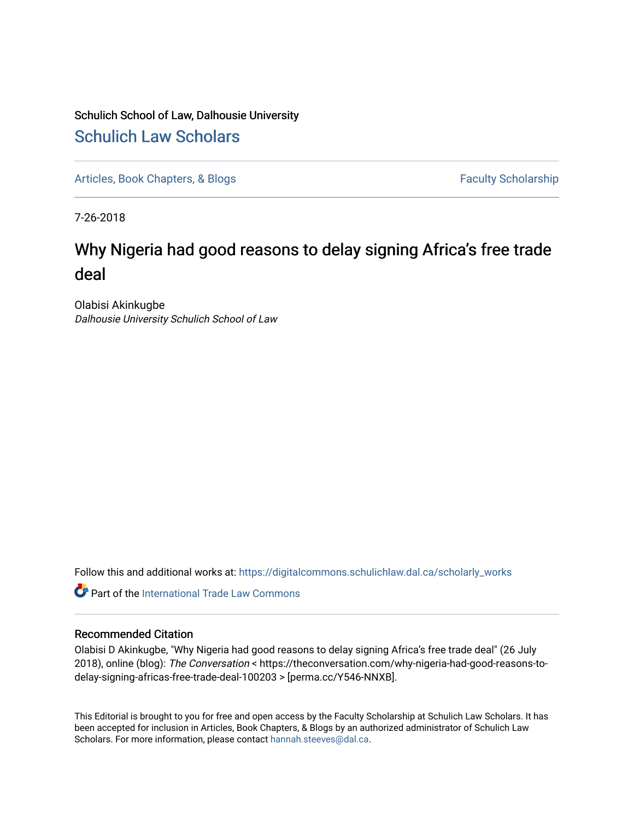### Schulich School of Law, Dalhousie University [Schulich Law Scholars](https://digitalcommons.schulichlaw.dal.ca/)

[Articles, Book Chapters, & Blogs](https://digitalcommons.schulichlaw.dal.ca/scholarly_works) Faculty Scholarship

7-26-2018

## Why Nigeria had good reasons to delay signing Africa's free trade deal

Olabisi Akinkugbe Dalhousie University Schulich School of Law

Follow this and additional works at: [https://digitalcommons.schulichlaw.dal.ca/scholarly\\_works](https://digitalcommons.schulichlaw.dal.ca/scholarly_works?utm_source=digitalcommons.schulichlaw.dal.ca%2Fscholarly_works%2F35&utm_medium=PDF&utm_campaign=PDFCoverPages) 

**C** Part of the [International Trade Law Commons](http://network.bepress.com/hgg/discipline/848?utm_source=digitalcommons.schulichlaw.dal.ca%2Fscholarly_works%2F35&utm_medium=PDF&utm_campaign=PDFCoverPages)

### Recommended Citation

Olabisi D Akinkugbe, "Why Nigeria had good reasons to delay signing Africa's free trade deal" (26 July 2018), online (blog): The Conversation < https://theconversation.com/why-nigeria-had-good-reasons-todelay-signing-africas-free-trade-deal-100203 > [perma.cc/Y546-NNXB].

This Editorial is brought to you for free and open access by the Faculty Scholarship at Schulich Law Scholars. It has been accepted for inclusion in Articles, Book Chapters, & Blogs by an authorized administrator of Schulich Law Scholars. For more information, please contact [hannah.steeves@dal.ca](mailto:hannah.steeves@dal.ca).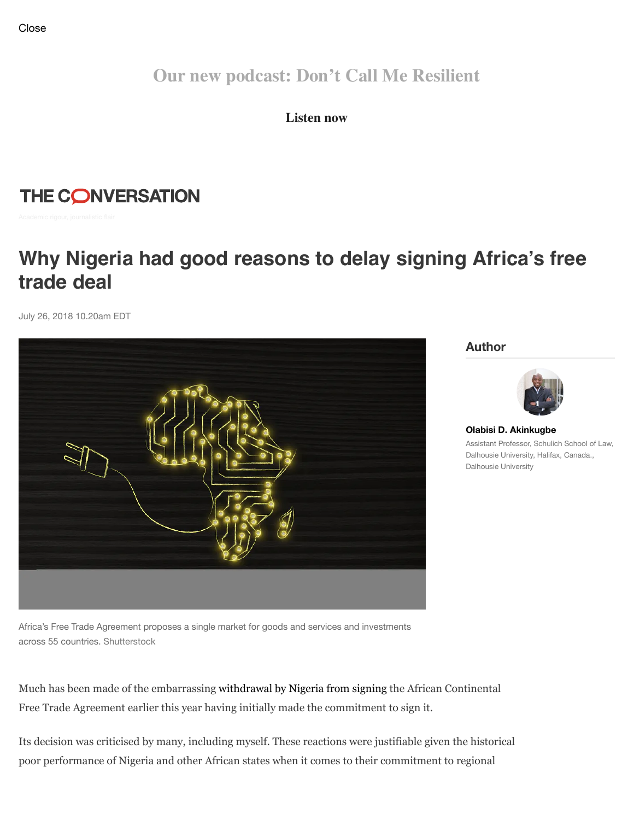**Our new podcast: Don't Call Me Resilient**

**Listen now**

THE CONVERSATION

# **Why Nigeria had good reasons to delay signing Africa's free trade deal**

July 26, 2018 10.20am EDT



**Author**



**[Olabisi D. Akinkugbe](https://theconversation.com/profiles/olabisi-d-akinkugbe-518198)** Assistant Professor, Schulich School of Law, Dalhousie University, Halifax, Canada., Dalhousie University

Africa's Free Trade Agreement proposes a single market for goods and services and investments across 55 countries. Shutterstock

Much has been made of the embarrassing [withdrawal by Nigeria from signing](https://www.vanguardngr.com/2018/03/afcfta-agreement-buhari-bows-pressure/) the African Continental Free Trade Agreement earlier this year having initially made the commitment to sign it.

Its decision was criticised by many, including myself. These reactions were justifiable given the historical poor performance of Nigeria and other African states when it comes to their commitment to regional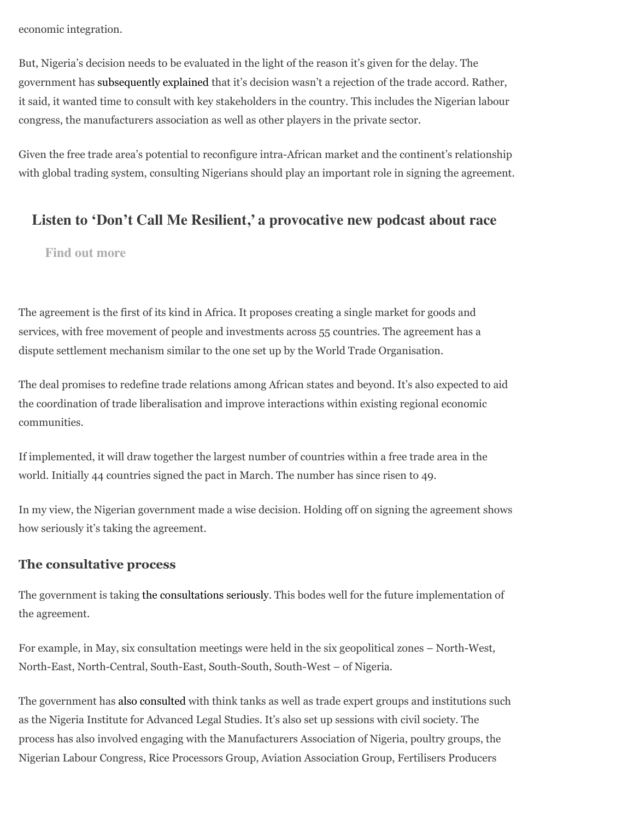economic integration.

But, Nigeria's decision needs to be evaluated in the light of the reason it's given for the delay. The government has [subsequently explained](https://www.businessdayonline.com/news/article/osinbajo-nigeria-will-sign-afcfta/) that it's decision wasn't a rejection of the trade accord. Rather, it said, it wanted time to consult with key stakeholders in the country. This includes the Nigerian labour congress, the manufacturers association as well as other players in the private sector.

Given the free trade area's potential to reconfigure intra-African market and the continent's relationship with global trading system, consulting Nigerians should play an important role in signing the agreement.

### **Listen to 'Don't Call Me Resilient,' a provocative new podcast about race**

**Find out more**

The agreement is the first of its kind in Africa. It proposes creating a single market for goods and services, with free movement of people and investments across 55 countries. The agreement has a dispute settlement mechanism similar to the one set up by the World Trade Organisation.

The deal promises to redefine trade relations among African states and beyond. It's also expected to aid the coordination of trade liberalisation and improve interactions within existing regional economic communities.

If implemented, it will draw together the largest number of countries within a free trade area in the world. Initially 44 countries signed the pact in March. The number has since risen to 49.

In my view, the Nigerian government made a wise decision. Holding off on signing the agreement shows how seriously it's taking the agreement.

#### **The consultative process**

The government is taking [the consultations seriously.](http://www.notn.gov.ng/post_action/73) This bodes well for the future implementation of the agreement.

For example, in May, six consultation meetings were held in the six geopolitical zones – North-West, North-East, North-Central, South-East, South-South, South-West – of Nigeria.

The government has [also consulted](http://www.notn.gov.ng/sensitization_and_consultation) with think tanks as well as trade expert groups and institutions such as the Nigeria Institute for Advanced Legal Studies. It's also set up sessions with civil society. The process has also involved engaging with the Manufacturers Association of Nigeria, poultry groups, the Nigerian Labour Congress, Rice Processors Group, Aviation Association Group, Fertilisers Producers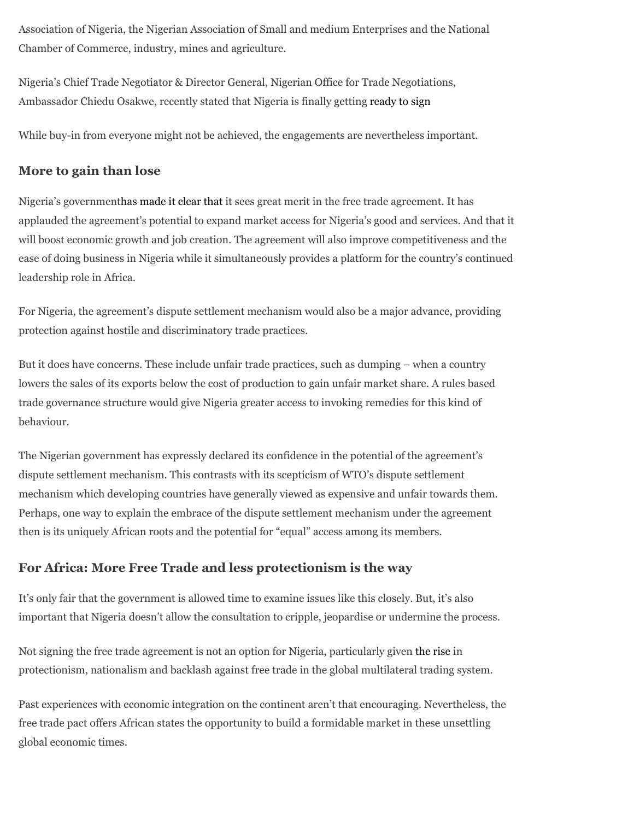Association of Nigeria, the Nigerian Association of Small and medium Enterprises and the National Chamber of Commerce, industry, mines and agriculture.

Nigeria's Chief Trade Negotiator & Director General, Nigerian Office for Trade Negotiations, Ambassador Chiedu Osakwe, recently stated that Nigeria is finally getting [ready to sign](https://www.premiumtimesng.com/features-and-interviews/275492-nigeria-now-ready-to-sign-africa-free-trade-deal-chief-trade-negotiator.html.)

While buy-in from everyone might not be achieved, the engagements are nevertheless important.

### **More to gain than lose**

Nigeria's government[has made it clear that](http://www.notn.gov.ng/bundles/notn/docs/afcfta_fact_sheet_v2.pdf) it sees great merit in the free trade agreement. It has applauded the agreement's potential to expand market access for Nigeria's good and services. And that it will boost economic growth and job creation. The agreement will also improve competitiveness and the ease of doing business in Nigeria while it simultaneously provides a platform for the country's continued leadership role in Africa.

For Nigeria, the agreement's dispute settlement mechanism would also be a major advance, providing protection against hostile and discriminatory trade practices.

But it does have concerns. These include unfair trade practices, such as dumping – when a country lowers the sales of its exports below the cost of production to gain unfair market share. A rules based trade governance structure would give Nigeria greater access to invoking remedies for this kind of behaviour.

The Nigerian government has expressly declared its confidence in the potential of the agreement's dispute settlement mechanism. This contrasts with its scepticism of WTO's dispute settlement mechanism which developing countries have generally viewed as expensive and unfair towards them. Perhaps, one way to explain the embrace of the dispute settlement mechanism under the agreement then is its uniquely African roots and the potential for "equal" access among its members.

### **For Africa: More Free Trade and less protectionism is the way**

It's only fair that the government is allowed time to examine issues like this closely. But, it's also important that Nigeria doesn't allow the consultation to cripple, jeopardise or undermine the process.

Not signing the free trade agreement is not an option for Nigeria, particularly given [the rise](https://www.ipe.com/investment/briefing-investment/world-trade-is-protectionism-on-the-rise/www.ipe.com/investment/briefing-investment/world-trade-is-protectionism-on-the-rise/10017403.fullarticle) in protectionism, nationalism and backlash against free trade in the global multilateral trading system.

Past experiences with economic integration on the continent aren't that encouraging. Nevertheless, the free trade pact offers African states the opportunity to build a formidable market in these unsettling global economic times.